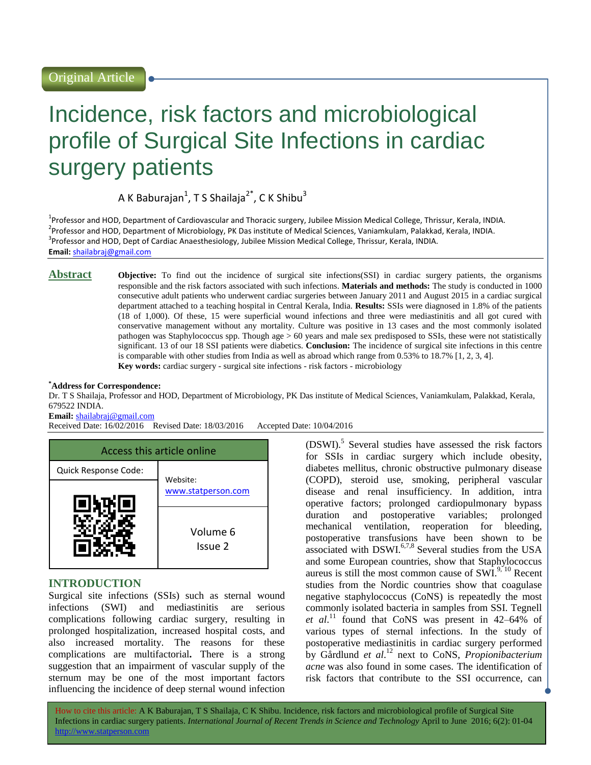# Incidence, risk factors and microbiological profile of Surgical Site Infections in cardiac surgery patients

A K Baburajan $^1$ , T S Shailaja $^{2^\ast}$ , C K Shibu $^3$ 

<sup>1</sup>Professor and HOD, Department of Cardiovascular and Thoracic surgery, Jubilee Mission Medical College, Thrissur, Kerala, INDIA. <sup>2</sup>Professor and HOD, Department of Microbiology, PK Das institute of Medical Sciences, Vaniamkulam, Palakkad, Kerala, INDIA. <sup>3</sup>Professor and HOD, Dept of Cardiac Anaesthesiology, Jubilee Mission Medical College, Thrissur, Kerala, INDIA. **Email:** [shailabraj@gmail.com](mailto:shailabraj@gmail.com)

**Abstract Objective:** To find out the incidence of surgical site infections(SSI) in cardiac surgery patients, the organisms responsible and the risk factors associated with such infections. **Materials and methods:** The study is conducted in 1000 consecutive adult patients who underwent cardiac surgeries between January 2011 and August 2015 in a cardiac surgical department attached to a teaching hospital in Central Kerala, India. **Results:** SSIs were diagnosed in 1.8% of the patients (18 of 1,000). Of these, 15 were superficial wound infections and three were mediastinitis and all got cured with conservative management without any mortality. Culture was positive in 13 cases and the most commonly isolated pathogen was Staphylococcus spp. Though age > 60 years and male sex predisposed to SSIs, these were not statistically significant. 13 of our 18 SSI patients were diabetics. **Conclusion:** The incidence of surgical site infections in this centre is comparable with other studies from India as well as abroad which range from 0.53% to 18.7% [1, 2, 3, 4]. **Key words:** cardiac surgery - surgical site infections - risk factors - microbiology

#### **\*Address for Correspondence:**

Dr. T S Shailaja, Professor and HOD, Department of Microbiology, PK Das institute of Medical Sciences, Vaniamkulam, Palakkad, Kerala, 679522 INDIA.

#### **Email:** [shailabraj@gmail.com](mailto:shailabraj@gmail.com)

Received Date: 16/02/2016 Revised Date: 18/03/2016 Accepted Date: 10/04/2016

| Access this article online |                     |  |
|----------------------------|---------------------|--|
| Quick Response Code:       | Website:            |  |
|                            | www.statperson.com  |  |
|                            | Volume 6<br>Issue 2 |  |

## **INTRODUCTION**

Surgical site infections (SSIs) such as sternal wound infections (SWI) and mediastinitis are serious complications following cardiac surgery, resulting in prolonged hospitalization, increased hospital costs, and also increased mortality. The reasons for these complications are multifactorial**.** There is a strong suggestion that an impairment of vascular supply of the sternum may be one of the most important factors influencing the incidence of deep sternal wound infection

(DSWI). 5 Several studies have assessed the risk factors for SSIs in cardiac surgery which include obesity, diabetes mellitus, chronic obstructive pulmonary disease (COPD), steroid use, smoking, peripheral vascular disease and renal insufficiency. In addition, intra operative factors; prolonged cardiopulmonary bypass duration and postoperative variables; prolonged mechanical ventilation, reoperation for bleeding, postoperative transfusions have been shown to be associated with DSWI.<sup>6,7,8</sup> Several studies from the USA and some European countries, show that Staphylococcus aureus is still the most common cause of  $SWI^{9,10}$  Recent studies from the Nordic countries show that coagulase negative staphylococcus (CoNS) is repeatedly the most commonly isolated bacteria in samples from SSI. Tegnell et al.<sup>11</sup> found that CoNS was present in 42–64% of various types of sternal infections. In the study of postoperative mediastinitis in cardiac surgery performed by Gårdlund *et al*. <sup>12</sup> next to CoNS, *Propionibacterium acne* was also found in some cases. The identification of risk factors that contribute to the SSI occurrence, can

How to cite this article: A K Baburajan, T S Shailaja, C K Shibu*.* Incidence, risk factors and microbiological profile of Surgical Site Infections in cardiac surgery patients. *International Journal of Recent Trends in Science and Technology* April to June 2016; 6(2): 01-04 http://www.statperson.com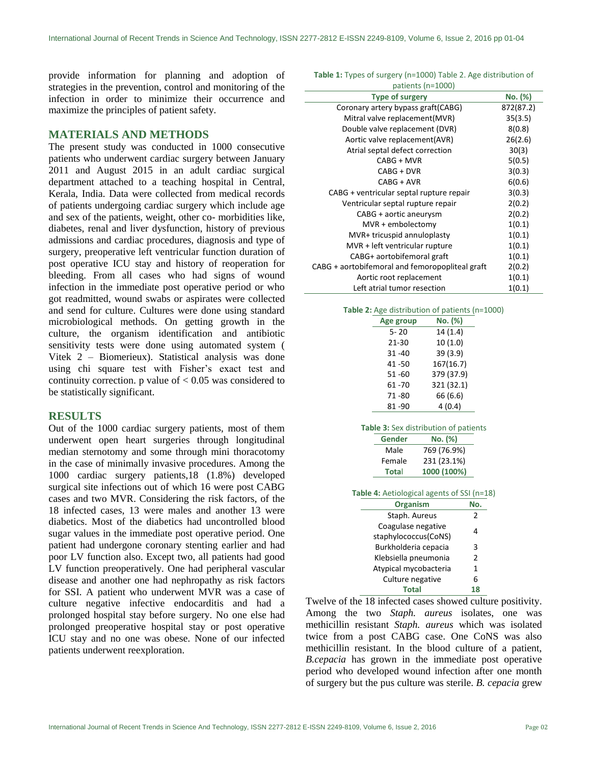provide information for planning and adoption of strategies in the prevention, control and monitoring of the infection in order to minimize their occurrence and maximize the principles of patient safety.

#### **MATERIALS AND METHODS**

The present study was conducted in 1000 consecutive patients who underwent cardiac surgery between January 2011 and August 2015 in an adult cardiac surgical department attached to a teaching hospital in Central, Kerala, India. Data were collected from medical records of patients undergoing cardiac surgery which include age and sex of the patients, weight, other co- morbidities like, diabetes, renal and liver dysfunction, history of previous admissions and cardiac procedures, diagnosis and type of surgery, preoperative left ventricular function duration of post operative ICU stay and history of reoperation for bleeding. From all cases who had signs of wound infection in the immediate post operative period or who got readmitted, wound swabs or aspirates were collected and send for culture. Cultures were done using standard microbiological methods. On getting growth in the culture, the organism identification and antibiotic sensitivity tests were done using automated system ( Vitek 2 – Biomerieux). Statistical analysis was done using chi square test with Fisher's exact test and continuity correction.  $p$  value of  $< 0.05$  was considered to be statistically significant.

#### **RESULTS**

Out of the 1000 cardiac surgery patients, most of them underwent open heart surgeries through longitudinal median sternotomy and some through mini thoracotomy in the case of minimally invasive procedures. Among the 1000 cardiac surgery patients,18 (1.8%) developed surgical site infections out of which 16 were post CABG cases and two MVR. Considering the risk factors, of the 18 infected cases, 13 were males and another 13 were diabetics. Most of the diabetics had uncontrolled blood sugar values in the immediate post operative period. One patient had undergone coronary stenting earlier and had poor LV function also. Except two, all patients had good LV function preoperatively. One had peripheral vascular disease and another one had nephropathy as risk factors for SSI. A patient who underwent MVR was a case of culture negative infective endocarditis and had a prolonged hospital stay before surgery. No one else had prolonged preoperative hospital stay or post operative ICU stay and no one was obese. None of our infected patients underwent reexploration.

**Table 1:** Types of surgery (n=1000) Table 2. Age distribution of patients (n=1000)

| patients (ii-1000)                              |           |
|-------------------------------------------------|-----------|
| <b>Type of surgery</b>                          | No. (%)   |
| Coronary artery bypass graft (CABG)             | 872(87.2) |
| Mitral valve replacement (MVR)                  | 35(3.5)   |
| Double valve replacement (DVR)                  | 8(0.8)    |
| Aortic valve replacement(AVR)                   | 26(2.6)   |
| Atrial septal defect correction                 | 30(3)     |
| CABG + MVR                                      | 5(0.5)    |
| CABG + DVR                                      | 3(0.3)    |
| CABG + AVR                                      | 6(0.6)    |
| CABG + ventricular septal rupture repair        | 3(0.3)    |
| Ventricular septal rupture repair               | 2(0.2)    |
| CABG + aortic aneurysm                          | 2(0.2)    |
| MVR + embolectomy                               | 1(0.1)    |
| MVR+ tricuspid annuloplasty                     | 1(0.1)    |
| MVR + left ventricular rupture                  | 1(0.1)    |
| CABG+ aortobifemoral graft                      | 1(0.1)    |
| CABG + aortobifemoral and femoropopliteal graft | 2(0.2)    |
| Aortic root replacement                         | 1(0.1)    |
| Left atrial tumor resection                     | 1(0.1)    |

|                                       | <b>Table 2:</b> Age distribution of patients (n=1000) |             |  |  |  |
|---------------------------------------|-------------------------------------------------------|-------------|--|--|--|
|                                       | Age group                                             | No. (%)     |  |  |  |
|                                       | $5 - 20$                                              | 14 (1.4)    |  |  |  |
|                                       | 21-30                                                 | 10(1.0)     |  |  |  |
|                                       | 31 - 40                                               | 39(3.9)     |  |  |  |
|                                       | 41 - 50                                               | 167(16.7)   |  |  |  |
|                                       | 51 - 60                                               | 379 (37.9)  |  |  |  |
|                                       | 61 - 70                                               | 321 (32.1)  |  |  |  |
|                                       | 71-80                                                 | 66 (6.6)    |  |  |  |
|                                       | 81-90                                                 | 4(0.4)      |  |  |  |
|                                       |                                                       |             |  |  |  |
| Table 3: Sex distribution of patients |                                                       |             |  |  |  |
|                                       | Gender                                                | No. (%)     |  |  |  |
|                                       | Male                                                  | 769 (76.9%) |  |  |  |
|                                       | Female                                                | 231 (23.1%) |  |  |  |

| Table 4: Aetiological agents of SSI (n=18) |  |  |
|--------------------------------------------|--|--|
|--------------------------------------------|--|--|

**Tota**l **1000 (100%)**

| <b>Organism</b>       |                |  |
|-----------------------|----------------|--|
| Staph. Aureus         | 2              |  |
| Coagulase negative    | 4              |  |
| staphylococcus(CoNS)  |                |  |
| Burkholderia cepacia  | 3              |  |
| Klebsiella pneumonia  | $\mathfrak{p}$ |  |
| Atypical mycobacteria | 1              |  |
| Culture negative      | 6              |  |
| <b>Total</b>          |                |  |

Twelve of the 18 infected cases showed culture positivity. Among the two *Staph. aureus* isolates, one was methicillin resistant *Staph. aureus* which was isolated twice from a post CABG case. One CoNS was also methicillin resistant. In the blood culture of a patient, *B.cepacia* has grown in the immediate post operative period who developed wound infection after one month of surgery but the pus culture was sterile. *B. cepacia* grew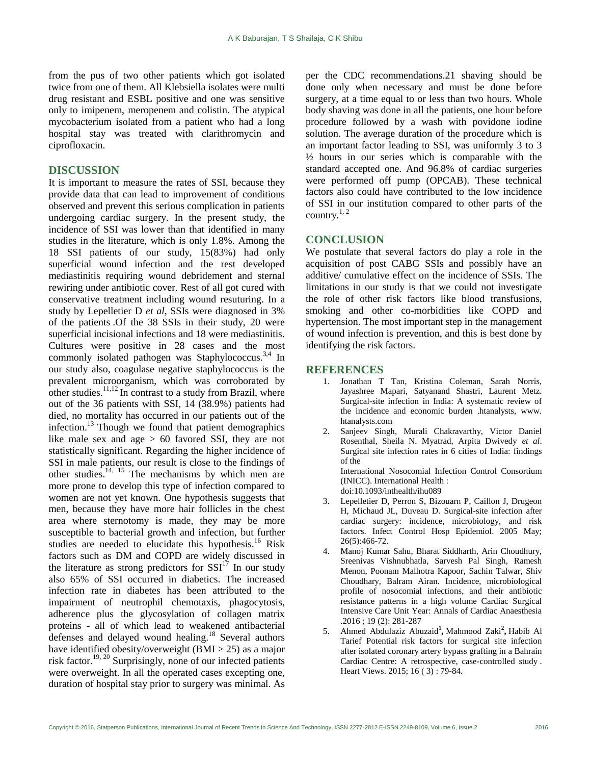from the pus of two other patients which got isolated twice from one of them. All Klebsiella isolates were multi drug resistant and ESBL positive and one was sensitive only to imipenem, meropenem and colistin. The atypical mycobacterium isolated from a patient who had a long hospital stay was treated with clarithromycin and ciprofloxacin.

### **DISCUSSION**

It is important to measure the rates of SSI, because they provide data that can lead to improvement of conditions observed and prevent this serious complication in patients undergoing cardiac surgery. In the present study, the incidence of SSI was lower than that identified in many studies in the literature, which is only 1.8%. Among the 18 SSI patients of our study, 15(83%) had only superficial wound infection and the rest developed mediastinitis requiring wound debridement and sternal rewiring under antibiotic cover. Rest of all got cured with conservative treatment including wound resuturing. In a study by Lepelletier D *et al*, SSIs were diagnosed in 3% of the patients .Of the 38 SSIs in their study, 20 were superficial incisional infections and 18 were mediastinitis. Cultures were positive in 28 cases and the most commonly isolated pathogen was Staphylococcus.<sup>3,4</sup> In our study also, coagulase negative staphylococcus is the prevalent microorganism, which was corroborated by other studies.  $\frac{11,12}{n}$  In contrast to a study from Brazil, where out of the 36 patients with SSI, 14 (38.9%) patients had died, no mortality has occurred in our patients out of the infection.<sup>13</sup> Though we found that patient demographics like male sex and age > 60 favored SSI, they are not statistically significant. Regarding the higher incidence of SSI in male patients, our result is close to the findings of other studies.<sup>14, 15</sup> The mechanisms by which men are more prone to develop this type of infection compared to women are not yet known. One hypothesis suggests that men, because they have more hair follicles in the chest area where sternotomy is made, they may be more susceptible to bacterial growth and infection, but further studies are needed to elucidate this hypothesis.<sup>16</sup> Risk factors such as DM and COPD are widely discussed in the literature as strong predictors for  $SSI<sup>17</sup>$  In our study also 65% of SSI occurred in diabetics. The increased infection rate in diabetes has been attributed to the impairment of neutrophil chemotaxis, phagocytosis, adherence plus the glycosylation of collagen matrix proteins - all of which lead to weakened antibacterial defenses and delayed wound healing.<sup>18</sup> Several authors have identified obesity/overweight (BMI > 25) as a major risk factor.19, <sup>20</sup> Surprisingly, none of our infected patients were overweight. In all the operated cases excepting one, duration of hospital stay prior to surgery was minimal. As

per the CDC recommendations.21 shaving should be done only when necessary and must be done before surgery, at a time equal to or less than two hours. Whole body shaving was done in all the patients, one hour before procedure followed by a wash with povidone iodine solution. The average duration of the procedure which is an important factor leading to SSI, was uniformly 3 to 3  $\frac{1}{2}$  hours in our series which is comparable with the standard accepted one. And 96.8% of cardiac surgeries were performed off pump (OPCAB). These technical factors also could have contributed to the low incidence of SSI in our institution compared to other parts of the country.<sup>1, 2</sup>

#### **CONCLUSION**

We postulate that several factors do play a role in the acquisition of post CABG SSIs and possibly have an additive/ cumulative effect on the incidence of SSIs. The limitations in our study is that we could not investigate the role of other risk factors like blood transfusions, smoking and other co-morbidities like COPD and hypertension. The most important step in the management of wound infection is prevention, and this is best done by identifying the risk factors.

#### **REFERENCES**

- 1. Jonathan T Tan, Kristina Coleman, Sarah Norris, Jayashree Mapari, Satyanand Shastri, Laurent Metz. Surgical-site infection in India: A systematic review of the incidence and economic burden .htanalysts, www. htanalysts.com
- Sanjeev Singh, Murali Chakravarthy, Victor Daniel Rosenthal, Sheila N. Myatrad, Arpita Dwivedy *et al*. Surgical site infection rates in 6 cities of India: findings of the

International Nosocomial Infection Control Consortium (INICC). International Health : doi:10.1093/inthealth/ihu089

- 3. Lepelletier D, Perron S, Bizouarn P, Caillon J, Drugeon H, Michaud JL, Duveau D. Surgical-site infection after cardiac surgery: incidence, microbiology, and risk factors. Infect Control Hosp Epidemiol. 2005 May; 26(5):466-72.
- 4. Manoj Kumar Sahu, Bharat Siddharth, Arin Choudhury, Sreenivas Vishnubhatla, Sarvesh Pal Singh, Ramesh Menon, Poonam Malhotra Kapoor, Sachin Talwar, Shiv Choudhary, Balram Airan. Incidence, microbiological profile of nosocomial infections, and their antibiotic resistance patterns in a high volume Cardiac Surgical Intensive Care Unit Year: Annals of Cardiac Anaesthesia .2016 ; 19 (2): 281-287
- 5. [Ahmed Abdulaziz Abuzaid](http://www.heartviews.org/searchresult.asp?search=&author=Ahmed+Abdulaziz+Abuzaid&journal=Y&but_search=Search&entries=10&pg=1&s=0)**<sup>1</sup> ,** [Mahmood Zaki](http://www.heartviews.org/searchresult.asp?search=&author=Mahmood+Zaki&journal=Y&but_search=Search&entries=10&pg=1&s=0)**<sup>2</sup> ,** [Habib Al](http://www.heartviews.org/searchresult.asp?search=&author=Habib+Al+Tarief&journal=Y&but_search=Search&entries=10&pg=1&s=0)  [Tarief](http://www.heartviews.org/searchresult.asp?search=&author=Habib+Al+Tarief&journal=Y&but_search=Search&entries=10&pg=1&s=0) Potential risk factors for surgical site infection after isolated coronary artery bypass grafting in a Bahrain Cardiac Centre: A retrospective, case-controlled study . Heart Views. 2015; 16 ( 3) : 79-84.